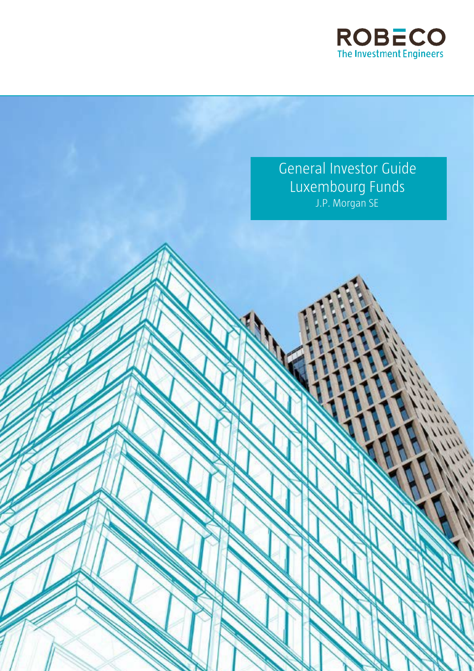

General Investor Guide Luxembourg Funds J.P. Morgan SE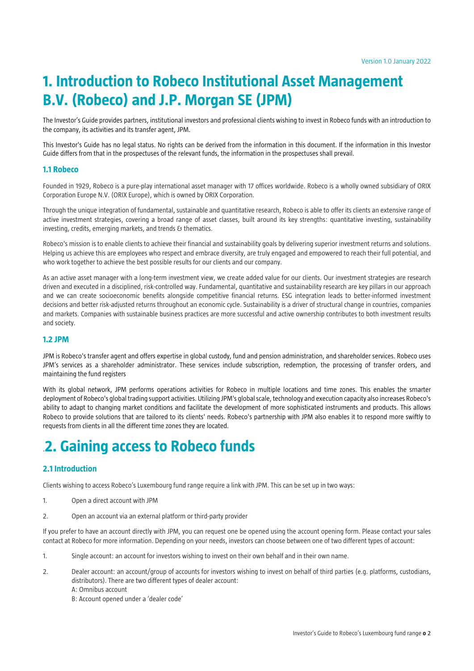# **1. Introduction to Robeco Institutional Asset Management B.V. (Robeco) and J.P. Morgan SE (JPM)**

The Investor's Guide provides partners, institutional investors and professional clients wishing to invest in Robeco funds with an introduction to the company, its activities and its transfer agent, JPM.

This Investor's Guide has no legal status. No rights can be derived from the information in this document. If the information in this Investor Guide differs from that in the prospectuses of the relevant funds, the information in the prospectuses shall prevail.

### **1.1 Robeco**

Founded in 1929, Robeco is a pure-play international asset manager with 17 offices worldwide. Robeco is a wholly owned subsidiary of ORIX Corporation Europe N.V. (ORIX Europe), which is owned by ORIX Corporation.

Through the unique integration of fundamental, sustainable and quantitative research, Robeco is able to offer its clients an extensive range of active investment strategies, covering a broad range of asset classes, built around its key strengths: quantitative investing, sustainability investing, credits, emerging markets, and trends & thematics.

Robeco's mission is to enable clients to achieve their financial and sustainability goals by delivering superior investment returns and solutions. Helping us achieve this are employees who respect and embrace diversity, are truly engaged and empowered to reach their full potential, and who work together to achieve the best possible results for our clients and our company.

As an active asset manager with a long-term investment view, we create added value for our clients. Our investment strategies are research driven and executed in a disciplined, risk-controlled way. Fundamental, quantitative and sustainability research are key pillars in our approach and we can create socioeconomic benefits alongside competitive financial returns. ESG integration leads to better-informed investment decisions and better risk-adjusted returns throughout an economic cycle. Sustainability is a driver of structural change in countries, companies and markets. Companies with sustainable business practices are more successful and active ownership contributes to both investment results and society.

### **1.2 JPM**

JPM is Robeco's transfer agent and offers expertise in global custody, fund and pension administration, and shareholder services. Robeco uses JPM's services as a shareholder administrator. These services include subscription, redemption, the processing of transfer orders, and maintaining the fund registers

With its global network. JPM performs operations activities for Robeco in multiple locations and time zones. This enables the smarter deployment of Robeco's global trading support activities. Utilizing JPM's global scale, technology and execution capacity also increases Robeco's ability to adapt to changing market conditions and facilitate the development of more sophisticated instruments and products. This allows Robeco to provide solutions that are tailored to its clients' needs. Robeco's partnership with JPM also enables it to respond more swiftly to requests from clients in all the different time zones they are located.

# .**2. Gaining access to Robeco funds**

# **2.1 Introduction**

Clients wishing to access Robeco's Luxembourg fund range require a link with JPM. This can be set up in two ways:

- 1. Open a direct account with JPM
- 2. Open an account via an external platform or third-party provider

If you prefer to have an account directly with JPM, you can request one be opened using the account opening form. Please contact your sales contact at Robeco for more information. Depending on your needs, investors can choose between one of two different types of account:

- 1. Single account: an account for investors wishing to invest on their own behalf and in their own name.
- 2. Dealer account: an account/group of accounts for investors wishing to invest on behalf of third parties (e.g. platforms, custodians, distributors). There are two different types of dealer account:
	- A: Omnibus account

B: Account opened under a 'dealer code'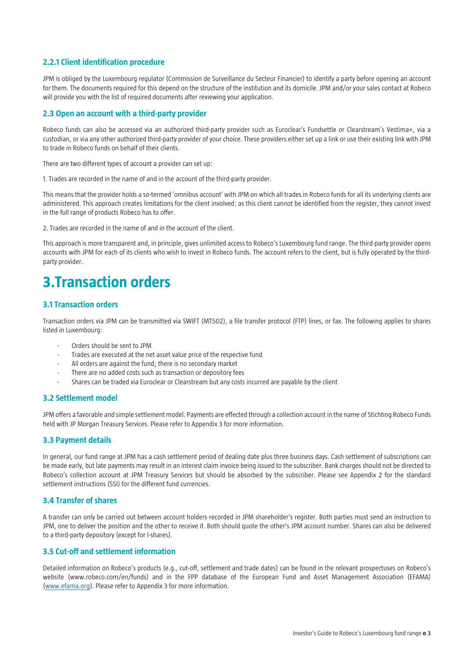## **2.2.1 Client identification procedure**

JPM is obliged by the Luxembourg regulator (Commission de Surveillance du Secteur Financier) to identify a party before opening an account for them. The documents required for this depend on the structure of the institution and its domicile. JPM and/or your sales contact at Robeco will provide you with the list of required documents after reviewing your application.

## **2.3 Open an account with a third-party provider**

Robeco funds can also be accessed via an authorized third-party provider such as Euroclear's Fundsettle or Clearstream's Vestima+, via a custodian, or via any other authorized third-party provider of your choice. These providers either set up a link or use their existing link with JPM to trade in Robeco funds on behalf of their clients.

There are two different types of account a provider can set up:

1. Trades are recorded in the name of and in the account of the third-party provider.

This means that the provider holds a so-termed 'omnibus account' with JPM on which all trades in Robeco funds for all its underlying clients are administered. This approach creates limitations for the client involved: as this client cannot be identified from the register, they cannot invest in the full range of products Robeco has to offer.

2. Trades are recorded in the name of and in the account of the client.

This approach is more transparent and, in principle, gives unlimited access to Robeco's Luxembourg fund range. The third-party provider opens accounts with JPM for each of its clients who wish to invest in Robeco funds. The account refers to the client, but is fully operated by the thirdparty provider.

# **3.Transaction orders**

## **3.1 Transaction orders**

Transaction orders via JPM can be transmitted via SWIFT (MT502), a file transfer protocol (FTP) lines, or fax. The following applies to shares listed in Luxembourg:

- Orders should be sent to JPM
- Trades are executed at the net asset value price of the respective fund
- All orders are against the fund; there is no secondary market
- There are no added costs such as transaction or depository fees
- Shares can be traded via Euroclear or Clearstream but any costs incurred are payable by the client

## **3.2 Settlement model**

JPM offers a favorable and simple settlement model. Payments are effected through a collection account in the name of Stichting Robeco Funds held with JP Morgan Treasury Services. Please refer to Appendix 3 for more information.

## **3.3 Payment details**

In general, our fund range at JPM has a cash settlement period of dealing date plus three business days. Cash settlement of subscriptions can be made early, but late payments may result in an interest claim invoice being issued to the subscriber. Bank charges should not be directed to Robeco's collection account at JPM Treasury Services but should be absorbed by the subscriber. Please see Appendix 2 for the standard settlement instructions (SSI) for the different fund currencies.

## **3.4 Transfer of shares**

A transfer can only be carried out between account holders recorded in JPM shareholder's register. Both parties must send an instruction to JPM, one to deliver the position and the other to receive it. Both should quote the other's JPM account number. Shares can also be delivered to a third-party depository (except for I-shares).

## **3.5 Cut-off and settlement information**

Detailed information on Robeco's products (e.g., cut-off, settlement and trade dates) can be found in the relevant prospectuses on Robeco's website (www.robeco.com/en/funds) and in the FPP database of the European Fund and Asset Management Association (EFAMA) [\(www.efama.org\)](http://www.efama.org/). Please refer to Appendix 3 for more information.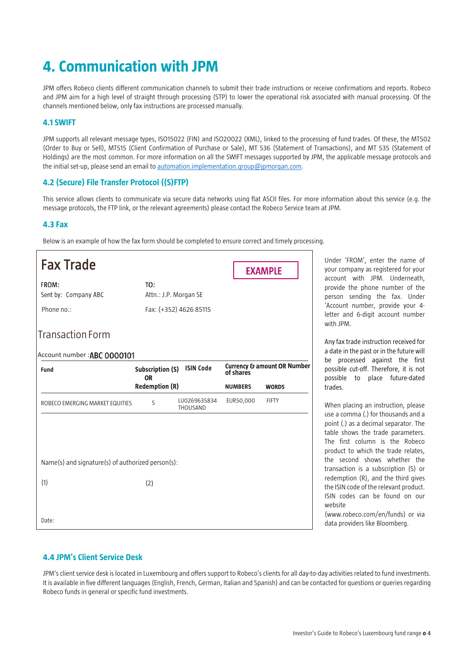# **4. Communication with JPM**

JPM offers Robeco clients different communication channels to submit their trade instructions or receive confirmations and reports. Robeco and JPM aim for a high level of straight through processing (STP) to lower the operational risk associated with manual processing. Of the channels mentioned below, only fax instructions are processed manually.

## **4.1 SWIFT**

JPM supports all relevant message types, ISO15022 (FIN) and ISO20022 (XML), linked to the processing of fund trades. Of these, the MT502 (Order to Buy or Sell), MT515 (Client Confirmation of Purchase or Sale), MT 536 (Statement of Transactions), and MT 535 (Statement of Holdings) are the most common. For more information on all the SWIFT messages supported by JPM, the applicable message protocols and the initial set-up, please send an email t[o automation.implementation.group@jpmorgan.com.](mailto:automation.implementation.group@jpmorgan.com)

# **4.2 (Secure) File Transfer Protocol ((S)FTP)**

This service allows clients to communicate via secure data networks using flat ASCII files. For more information about this service (e.g. the message protocols, the FTP link, or the relevant agreements) please contact the Robeco Service team at JPM.

# **4.3 Fax**

Below is an example of how the fax form should be completed to ensure correct and timely processing.

| <b>Fax Trade</b>                                  |                                      |                          |                | <b>EXAMPLE</b>                         |
|---------------------------------------------------|--------------------------------------|--------------------------|----------------|----------------------------------------|
| FROM:<br>Sent by: Company ABC                     | TO:<br>Attn.: J.P. Morgan SE         |                          |                |                                        |
| Phone no.:                                        |                                      | Fax: (+352) 4626 85115   |                |                                        |
| <b>Transaction Form</b>                           |                                      |                          |                |                                        |
| Account number : ABC 0000101                      |                                      |                          |                |                                        |
| <b>Fund</b>                                       | <b>Subscription (S)</b><br><b>OR</b> | <b>ISIN Code</b>         | of shares      | <b>Currency &amp; amount OR Number</b> |
|                                                   | <b>Redemption (R)</b>                |                          | <b>NUMBERS</b> | <b>WORDS</b>                           |
| ROBECO EMERGING MARKET EQUITIES                   | S                                    | LU0269635834<br>THOUSAND | EUR50,000      | <b>FIFTY</b>                           |
|                                                   |                                      |                          |                |                                        |
|                                                   |                                      |                          |                |                                        |
| Name(s) and signature(s) of authorized person(s): |                                      |                          |                |                                        |
| (1)                                               | (2)                                  |                          |                |                                        |
|                                                   |                                      |                          |                |                                        |
| Date:                                             |                                      |                          |                |                                        |

Under 'FROM', enter the name of your company as registered for your account with JPM. Underneath, provide the phone number of the person sending the fax. Under 'Account number, provide your 4 letter and 6-digit account number with JPM.

Any fax trade instruction received for a date in the past or in the future will be processed against the first possible cut-off. Therefore, it is not possible to place future-dated trades.

When placing an instruction, please use a comma (.) for thousands and a point (.) as a decimal separator. The table shows the trade parameters. The first column is the Robeco product to which the trade relates, the second shows whether the transaction is a subscription (S) or redemption (R), and the third gives the ISIN code of the relevant product. ISIN codes can be found on our website

(www.robeco.com/en/funds) or via data providers like Bloomberg.

# **4.4 JPM's Client Service Desk**

JPM's client service desk is located in Luxembourg and offers support to Robeco's clients for all day-to-day activities related to fund investments. It is available in five different languages (English, French, German, Italian and Spanish) and can be contacted for questions or queries regarding Robeco funds in general or specific fund investments.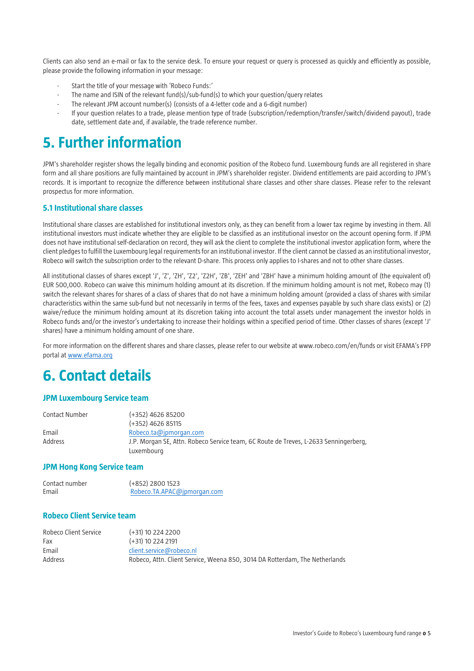Clients can also send an e-mail or fax to the service desk. To ensure your request or query is processed as quickly and efficiently as possible, please provide the following information in your message:

- Start the title of your message with 'Robeco Funds:'
- The name and ISIN of the relevant fund(s)/sub-fund(s) to which your question/query relates
- The relevant JPM account number(s) (consists of a 4-letter code and a 6-digit number)
- If your question relates to a trade, please mention type of trade (subscription/redemption/transfer/switch/dividend payout), trade date, settlement date and, if available, the trade reference number.

# **5. Further information**

JPM's shareholder register shows the legally binding and economic position of the Robeco fund. Luxembourg funds are all registered in share form and all share positions are fully maintained by account in JPM's shareholder register. Dividend entitlements are paid according to JPM's records. It is important to recognize the difference between institutional share classes and other share classes. Please refer to the relevant prospectus for more information.

## **5.1 Institutional share classes**

Institutional share classes are established for institutional investors only, as they can benefit from a lower tax regime by investing in them. All institutional investors must indicate whether they are eligible to be classified as an institutional investor on the account opening form. If JPM does not have institutional self-declaration on record, they will ask the client to complete the institutional investor application form, where the client pledges to fulfill the Luxembourg legal requirements for an institutional investor. If the client cannot be classed as an institutional investor, Robeco will switch the subscription order to the relevant D-share. This process only applies to I-shares and not to other share classes.

All institutional classes of shares except 'J', 'Z', 'ZH', 'Z2', 'Z2H', 'ZB', 'ZEH' and 'ZBH' have a minimum holding amount of (the equivalent of) EUR 500,000. Robeco can waive this minimum holding amount at its discretion. If the minimum holding amount is not met, Robeco may (1) switch the relevant shares for shares of a class of shares that do not have a minimum holding amount (provided a class of shares with similar characteristics within the same sub-fund but not necessarily in terms of the fees, taxes and expenses payable by such share class exists) or (2) waive/reduce the minimum holding amount at its discretion taking into account the total assets under management the investor holds in Robeco funds and/or the investor's undertaking to increase their holdings within a specified period of time. Other classes of shares (except 'J' shares) have a minimum holding amount of one share.

For more information on the different shares and share classes, please refer to our website at www.robeco.com/en/funds or visit EFAMA's FPP portal a[t www.efama.org](http://www.efama.org/)

# **6. Contact details**

## **JPM Luxembourg Service team**

| Contact Number | (+352) 4626 85200                                                                    |
|----------------|--------------------------------------------------------------------------------------|
|                | $(+352)$ 4626 85115                                                                  |
| Email          | Robeco.ta@jpmorgan.com                                                               |
| Address        | J.P. Morgan SE, Attn. Robeco Service team, 6C Route de Treves, L-2633 Senningerberg, |
|                | Luxembourg                                                                           |

### **JPM Hong Kong Service team**

| Contact number | (+852) 2800 1523            |
|----------------|-----------------------------|
| Email          | Robeco.TA.APAC@ipmorgan.com |

## **Robeco Client Service team**

| Robeco Client Service | $(+31)$ 10 224 2200                                                         |
|-----------------------|-----------------------------------------------------------------------------|
| Fax                   | $(+31)$ 10 224 2191                                                         |
| Email                 | client.service@robeco.nl                                                    |
| Address               | Robeco, Attn. Client Service, Weena 850, 3014 DA Rotterdam, The Netherlands |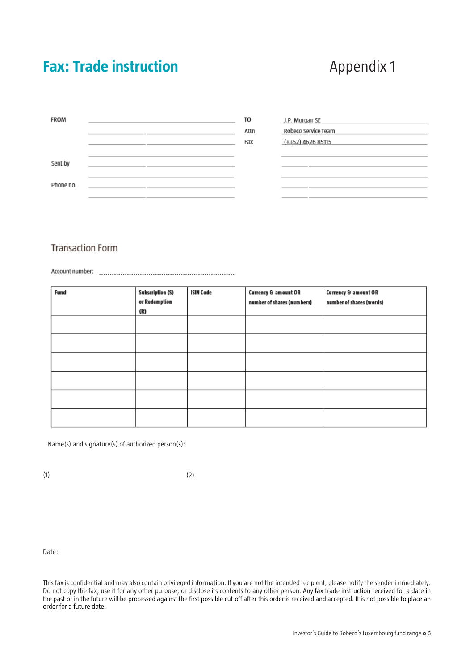# **Fax: Trade instruction Appendix 1**

| <b>FROM</b> |  | TO<br>Attn<br>Fax | J.P. Morgan SE<br>Robeco Service Team<br>(+352) 4626 85115 |
|-------------|--|-------------------|------------------------------------------------------------|
| Sent by     |  |                   |                                                            |
| Phone no.   |  |                   |                                                            |

# **Transaction Form**

| <b>Fund</b> | <b>Subscription (S)</b><br>or Redemption<br>(R) | <b>ISIN Code</b> | Currency & amount OR<br>number of shares (numbers) | Currency & amount OR<br>number of shares (words) |
|-------------|-------------------------------------------------|------------------|----------------------------------------------------|--------------------------------------------------|
|             |                                                 |                  |                                                    |                                                  |
|             |                                                 |                  |                                                    |                                                  |
|             |                                                 |                  |                                                    |                                                  |
|             |                                                 |                  |                                                    |                                                  |
|             |                                                 |                  |                                                    |                                                  |
|             |                                                 |                  |                                                    |                                                  |

Name(s) and signature(s) of authorized person(s):

 $(1)$   $(2)$ 

Date:

This fax is confidential and may also contain privileged information. If you are not the intended recipient, please notify the sender immediately. Do not copy the fax, use it for any other purpose, or disclose its contents to any other person. Any fax trade instruction received for a date in the past or in the future will be processed against the first possible cut-off after this order is received and accepted. It is not possible to place an order for a future date.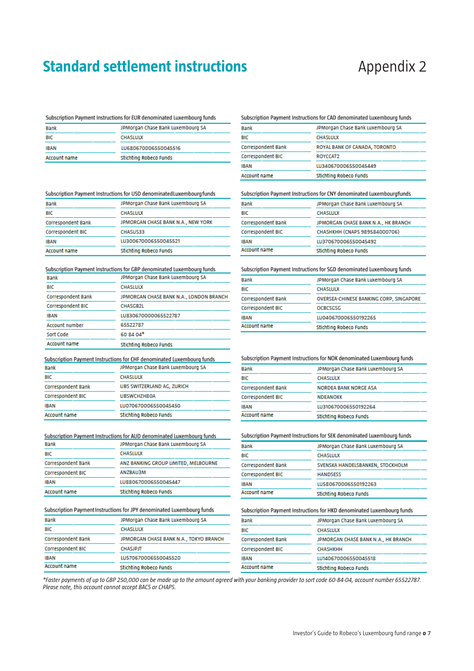# **Standard settlement instructions Appendix 2**

### Subscription Payment Instructions for EUR denominated Luxembourg funds

| Bank                | JPMorgan Chase Bank Luxembourg SA |
|---------------------|-----------------------------------|
| BIC                 | <b>CHASLULX</b>                   |
| IBAN                | LU680670006550045516              |
| <b>Account name</b> | <b>Stichting Robeco Funds</b>     |

### Subscription Payment Instructions for USD denominated Luxembourg funds

| <b>Bank</b>         | JPMorgan Chase Bank Luxembourg SA  |  |  |
|---------------------|------------------------------------|--|--|
| BIC                 | <b>CHASLULX</b>                    |  |  |
| Correspondent Bank  | JPMORGAN CHASE BANK N.A., NEW YORK |  |  |
| Correspondent BIC   | <b>CHASUS33</b>                    |  |  |
| <b>IBAN</b>         | LU300670006550045521               |  |  |
| <b>Account name</b> | <b>Stichting Robeco Funds</b>      |  |  |

### Subscription Payment Instructions for GBP denominated Luxembourg funds

| <b>Bank</b>               | JPMorgan Chase Bank Luxembourg SA       |  |
|---------------------------|-----------------------------------------|--|
| BIC                       | <b>CHASLULX</b>                         |  |
| <b>Correspondent Bank</b> | JPMORGAN CHASE BANK N.A., LONDON BRANCH |  |
| <b>Correspondent BIC</b>  | <b>CHASGB2L</b>                         |  |
| <b>IBAN</b>               | LU830670000065522787                    |  |
| Account number            | 65522787                                |  |
| Sort Code                 | 60 84 04*                               |  |
| Account name              | Stichting Robero Funds                  |  |

### Subscription Payment Instructions for CHF denominated Luxembourg funds

| <b>Bank</b>        | JPMorgan Chase Bank Luxembourg SA |  |  |
|--------------------|-----------------------------------|--|--|
| BIC                | <b>CHASLULX</b>                   |  |  |
| Correspondent Bank | UBS SWITZERLAND AG, ZURICH        |  |  |
| Correspondent BIC  | <b>UBSWCHZH80A</b>                |  |  |
| IBAN               | LU070670006550045450              |  |  |
| Account name       | <b>Stichting Robeco Funds</b>     |  |  |

# Subscription Payment Instructions for AUD denominated Luxembourg funds

| <b>Bank</b>               | JPMOrgan Chase Bank Luxembourg SA    |
|---------------------------|--------------------------------------|
| BIC                       | <b>CHASLULX</b>                      |
| <b>Correspondent Bank</b> | ANZ BANKING GROUP LIMITED, MELBOURNE |
| <b>Correspondent BIC</b>  | <b>ANZBAU3M</b>                      |
| <b>IBAN</b>               | LU880670006550045447                 |
| <b>Account name</b>       | <b>Stichting Robeco Funds</b>        |

### Subscription Payment Instructions for JPY denominated Luxembourg funds

| Bank                | JPMorgan Chase Bank Luxembourg SA      |  |  |
|---------------------|----------------------------------------|--|--|
| BIC                 | <b>CHASLULX</b>                        |  |  |
| Correspondent Bank  | JPMORGAN CHASE BANK N.A., TOKYO BRANCH |  |  |
| Correspondent BIC   | <b>CHASJPJT</b>                        |  |  |
| IBAN                | LU570670006550045520                   |  |  |
| <b>Account name</b> | Stichting Robeco Funds                 |  |  |

### Subscription Payment Instructions for CAD denominated Luxembourg funds

| Bank                | JPMorgan Chase Bank Luxembourg SA |
|---------------------|-----------------------------------|
| BIC                 | <b>CHASLULX</b>                   |
| Correspondent Bank  | ROYAL BANK OF CANADA, TORONTO     |
| Correspondent BIC   | ROYCCAT2                          |
| <b>IBAN</b>         | LU340670006550045449              |
| <b>Account name</b> | <b>Stichting Robeco Funds</b>     |

### Subscription Payment Instructions for CNY denominated Luxembourgfunds

| Bank               | JPMorgan Chase Bank Luxembourg SA   |  |
|--------------------|-------------------------------------|--|
| BIC                | <b>CHASLULX</b>                     |  |
| Correspondent Bank | JPMORGAN CHASE BANK N.A., HK BRANCH |  |
| Correspondent BIC  | CHASHKHH (CNAPS 989584000706)       |  |
| IBAN               | LU370670006550045492                |  |
| Account name       | <b>Stichting Robeco Funds</b>       |  |

### Subscription Payment Instructions for SGD denominated Luxembourg funds

| Bank               | JPMorgan Chase Bank Luxembourg SA       |
|--------------------|-----------------------------------------|
| BIC                | <b>CHASLULX</b>                         |
| Correspondent Bank | OVERSEA-CHINESE BANKING CORP, SINGAPORE |
| Correspondent BIC  | <b>OCBCSGSG</b>                         |
| IBAN               | LU040670006550192265                    |
| Account name       | <b>Stichting Robeco Funds</b>           |

### Subscription Payment Instructions for NOK denominated Luxembourg funds

| Bank                | JPMorgan Chase Bank Luxembourg SA |  |
|---------------------|-----------------------------------|--|
| BIC                 | <b>CHASLULX</b>                   |  |
| Correspondent Bank  | <b>NORDEA BANK NORGE ASA</b>      |  |
| Correspondent BIC   | <b>NDEANOKK</b>                   |  |
| <b>IBAN</b>         | LU310670006550192264              |  |
| <b>Account name</b> | <b>Stichting Robeco Funds</b>     |  |

### Subscription Payment Instructions for SEK denominated Luxembourg funds

| <b>Bank</b>               | JPMorgan Chase Bank Luxembourg SA |
|---------------------------|-----------------------------------|
| BIC                       | <b>CHASLULX</b>                   |
| <b>Correspondent Bank</b> | SVENSKA HANDELSBANKEN, STOCKHOLM  |
| Correspondent BIC         | <b>HANDSESS</b>                   |
| <b>IBAN</b>               | LU580670006550192263              |
| Account name              | Stichting Robeco Funds            |

### Subscription Payment Instructions for HKD denominated Luxembourg funds

| <b>Bank</b>         | JPMorgan Chase Bank Luxembourg SA   |  |
|---------------------|-------------------------------------|--|
| BIC                 | <b>CHASLULX</b>                     |  |
| Correspondent Bank  | JPMORGAN CHASE BANK N.A., HK BRANCH |  |
| Correspondent BIC   | <b>CHASHKHH</b>                     |  |
| <b>IBAN</b>         | LU140670006550045518                |  |
| <b>Account name</b> | Stichting Robeco Funds              |  |

*\*Faster payments of up to GBP 250,000 can be made up to the amount agreed with your banking provider to sort code 60-84-04, account number 65522787. Please note, this account cannot accept BACS or CHAPS.*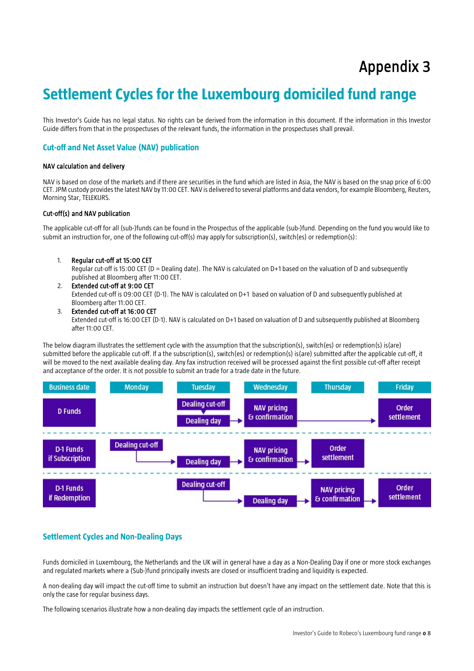# Appendix 3

# **Settlement Cycles for the Luxembourg domiciled fund range**

This Investor's Guide has no legal status. No rights can be derived from the information in this document. If the information in this Investor Guide differs from that in the prospectuses of the relevant funds, the information in the prospectuses shall prevail.

## **Cut-off and Net Asset Value (NAV) publication**

### NAV calculation and delivery

NAV is based on close of the markets and if there are securities in the fund which are listed in Asia, the NAV is based on the snap price of 6:00 CET. JPM custody provides the latest NAV by 11:00 CET. NAV is delivered to several platforms and data vendors, for example Bloomberg, Reuters, Morning Star, TELEKURS.

### Cut-off(s) and NAV publication

The applicable cut-off for all (sub-)funds can be found in the Prospectus of the applicable (sub-)fund. Depending on the fund you would like to submit an instruction for, one of the following cut-off(s) may apply for subscription(s), switch(es) or redemption(s):

1. Regular cut-off at 15:00 CET

Regular cut-off is 15:00 CET (D = Dealing date). The NAV is calculated on D+1 based on the valuation of D and subsequently published at Bloomberg after 11:00 CET.

2. Extended cut-off at 9:00 CET

Extended cut-off is 09:00 CET (D-1). The NAV is calculated on D+1 based on valuation of D and subsequently published at Bloomberg after 11:00 CET.

3. Extended cut-off at 16:00 CET

Extended cut-off is 16:00 CET (D-1). NAV is calculated on D+1 based on valuation of D and subsequently published at Bloomberg after 11:00 CET.

The below diagram illustrates the settlement cycle with the assumption that the subscription(s), switch(es) or redemption(s) is(are) submitted before the applicable cut-off. If a the subscription(s), switch(es) or redemption(s) is(are) submitted after the applicable cut-off, it will be moved to the next available dealing day. Any fax instruction received will be processed against the first possible cut-off after receipt and acceptance of the order. It is not possible to submit an trade for a trade date in the future.



## **Settlement Cycles and Non-Dealing Days**

Funds domiciled in Luxembourg, the Netherlands and the UK will in general have a day as a Non-Dealing Day if one or more stock exchanges and regulated markets where a (Sub-)fund principally invests are closed or insufficient trading and liquidity is expected.

A non-dealing day will impact the cut-off time to submit an instruction but doesn't have any impact on the settlement date. Note that this is only the case for regular business days.

The following scenarios illustrate how a non-dealing day impacts the settlement cycle of an instruction.